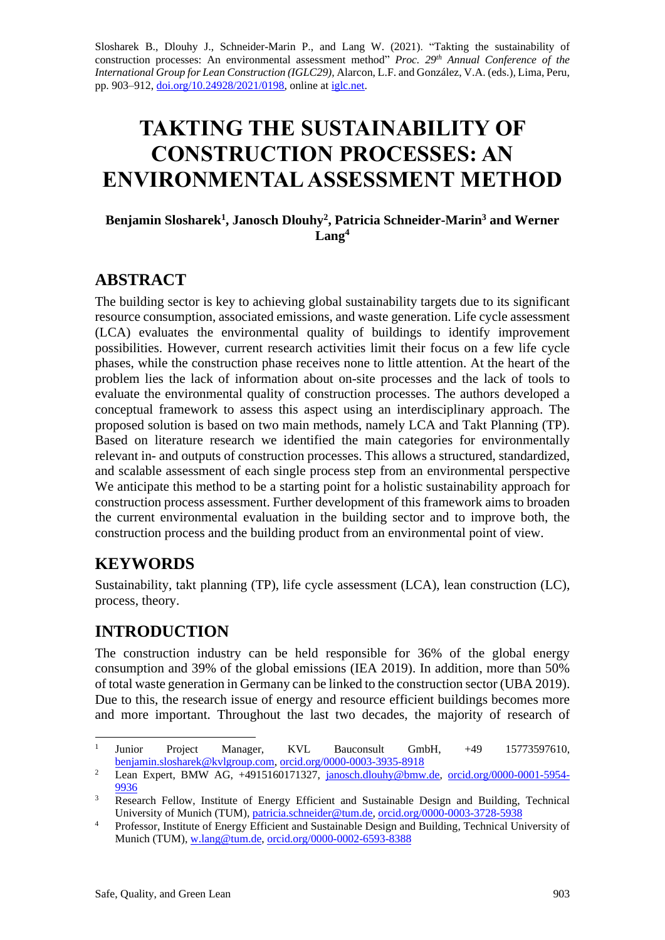Slosharek B., Dlouhy J., Schneider-Marin P., and Lang W. (2021). "Takting the sustainability of construction processes: An environmental assessment method" *Proc. 29 th Annual Conference of the International Group for Lean Construction (IGLC29),* Alarcon, L.F. and González, V.A. (eds.)*,* Lima, Peru, pp. 903–912, [doi.org/10.24928/2021/0198,](https://doi.org/10.24928/2021/0198) online a[t iglc.net.](http://iglc.net/)

# **TAKTING THE SUSTAINABILITY OF CONSTRUCTION PROCESSES: AN ENVIRONMENTAL ASSESSMENT METHOD**

#### **Benjamin Slosharek<sup>1</sup> , Janosch Dlouhy<sup>2</sup> , Patricia Schneider-Marin<sup>3</sup> and Werner Lang<sup>4</sup>**

# **ABSTRACT**

The building sector is key to achieving global sustainability targets due to its significant resource consumption, associated emissions, and waste generation. Life cycle assessment (LCA) evaluates the environmental quality of buildings to identify improvement possibilities. However, current research activities limit their focus on a few life cycle phases, while the construction phase receives none to little attention. At the heart of the problem lies the lack of information about on-site processes and the lack of tools to evaluate the environmental quality of construction processes. The authors developed a conceptual framework to assess this aspect using an interdisciplinary approach. The proposed solution is based on two main methods, namely LCA and Takt Planning (TP). Based on literature research we identified the main categories for environmentally relevant in- and outputs of construction processes. This allows a structured, standardized, and scalable assessment of each single process step from an environmental perspective We anticipate this method to be a starting point for a holistic sustainability approach for construction process assessment. Further development of this framework aims to broaden the current environmental evaluation in the building sector and to improve both, the construction process and the building product from an environmental point of view.

# **KEYWORDS**

Sustainability, takt planning (TP), life cycle assessment (LCA), lean construction (LC), process, theory.

# **INTRODUCTION**

The construction industry can be held responsible for 36% of the global energy consumption and 39% of the global emissions (IEA 2019). In addition, more than 50% of total waste generation in Germany can be linked to the construction sector (UBA 2019). Due to this, the research issue of energy and resource efficient buildings becomes more and more important. Throughout the last two decades, the majority of research of

<sup>1</sup> Junior Project Manager, KVL Bauconsult GmbH, +49 15773597610, [benjamin.slosharek@kvlgroup.com,](mailto:benjamin.slosharek@kvlgroup.com) [orcid.org/0000-0003-3935-8918](https://orcid.org/0000-0003-3935-8918)

<sup>&</sup>lt;sup>2</sup> Lean Expert, BMW AG, +4915160171327, [janosch.dlouhy@bmw.de,](mailto:janosch.dlouhy@bmw.de) [orcid.org/0000-0001-5954-](https://orcid.org/0000-0001-5954-9936) [9936](https://orcid.org/0000-0001-5954-9936)

<sup>&</sup>lt;sup>3</sup> Research Fellow, Institute of Energy Efficient and Sustainable Design and Building, Technical University of Munich (TUM), [patricia.schneider@tum.de,](mailto:patricia.schneider@tum.de) [orcid.org/0000-0003-3728-5938](https://orcid.org/0000-0003-3728-5938)

<sup>&</sup>lt;sup>4</sup> Professor, Institute of Energy Efficient and Sustainable Design and Building, Technical University of Munich (TUM)[, w.lang@tum.de,](mailto:w.lang@tum.de) [orcid.org/0000-0002-6593-8388](https://orcid.org/0000-0002-6593-8388)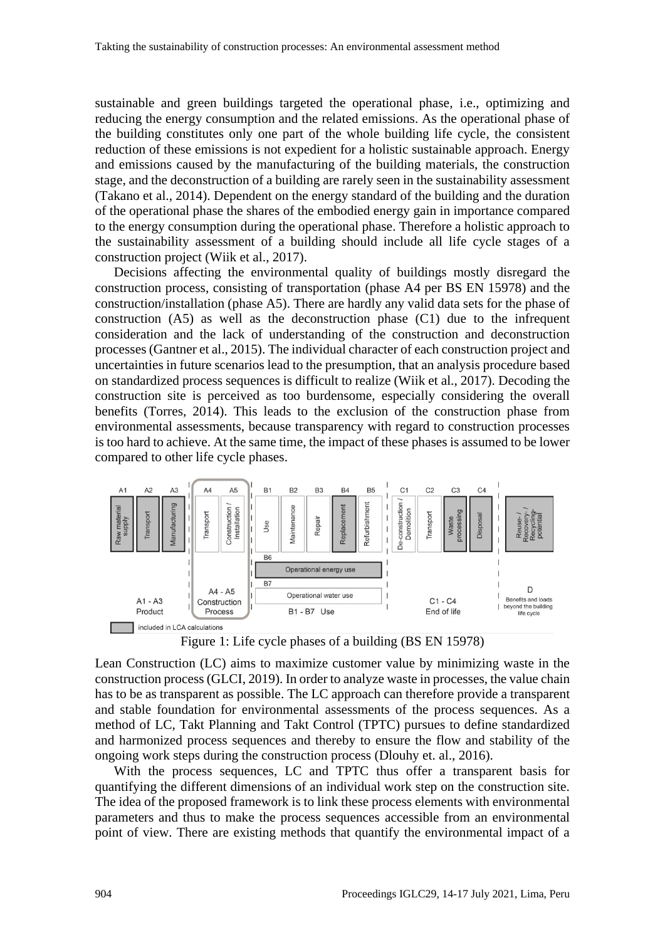sustainable and green buildings targeted the operational phase, i.e., optimizing and reducing the energy consumption and the related emissions. As the operational phase of the building constitutes only one part of the whole building life cycle, the consistent reduction of these emissions is not expedient for a holistic sustainable approach. Energy and emissions caused by the manufacturing of the building materials, the construction stage, and the deconstruction of a building are rarely seen in the sustainability assessment (Takano et al., 2014). Dependent on the energy standard of the building and the duration of the operational phase the shares of the embodied energy gain in importance compared to the energy consumption during the operational phase. Therefore a holistic approach to the sustainability assessment of a building should include all life cycle stages of a construction project (Wiik et al., 2017).

Decisions affecting the environmental quality of buildings mostly disregard the construction process, consisting of transportation (phase A4 per BS EN 15978) and the construction/installation (phase A5). There are hardly any valid data sets for the phase of construction (A5) as well as the deconstruction phase (C1) due to the infrequent consideration and the lack of understanding of the construction and deconstruction processes (Gantner et al., 2015). The individual character of each construction project and uncertainties in future scenarios lead to the presumption, that an analysis procedure based on standardized process sequences is difficult to realize (Wiik et al., 2017). Decoding the construction site is perceived as too burdensome, especially considering the overall benefits (Torres, 2014). This leads to the exclusion of the construction phase from environmental assessments, because transparency with regard to construction processes is too hard to achieve. At the same time, the impact of these phases is assumed to be lower compared to other life cycle phases.



Figure 1: Life cycle phases of a building (BS EN 15978)

Lean Construction (LC) aims to maximize customer value by minimizing waste in the construction process (GLCI, 2019). In order to analyze waste in processes, the value chain has to be as transparent as possible. The LC approach can therefore provide a transparent and stable foundation for environmental assessments of the process sequences. As a method of LC, Takt Planning and Takt Control (TPTC) pursues to define standardized and harmonized process sequences and thereby to ensure the flow and stability of the ongoing work steps during the construction process (Dlouhy et. al., 2016).

With the process sequences, LC and TPTC thus offer a transparent basis for quantifying the different dimensions of an individual work step on the construction site. The idea of the proposed framework is to link these process elements with environmental parameters and thus to make the process sequences accessible from an environmental point of view. There are existing methods that quantify the environmental impact of a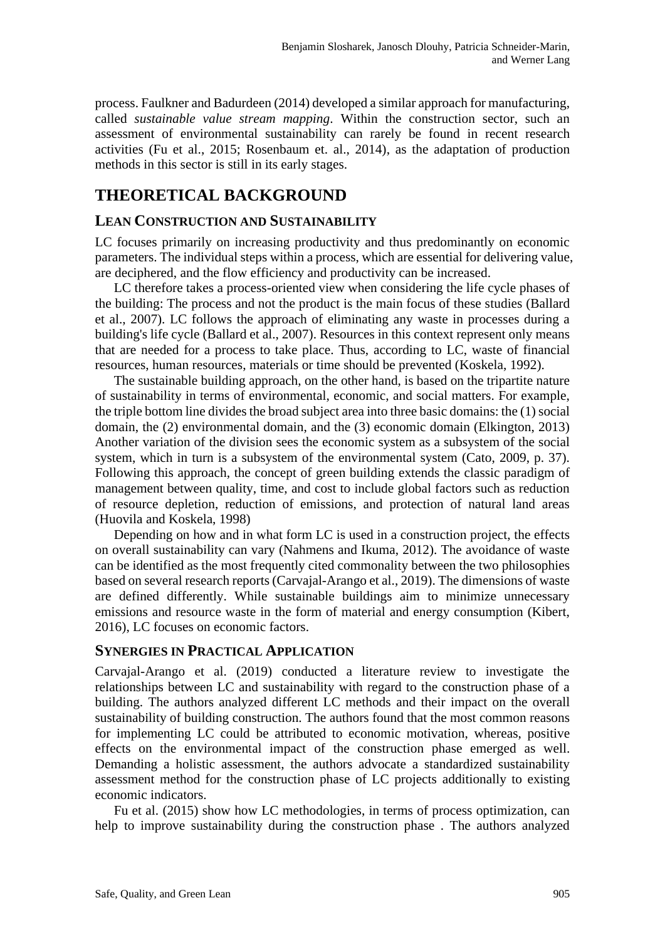process. Faulkner and Badurdeen (2014) developed a similar approach for manufacturing, called *sustainable value stream mapping*. Within the construction sector, such an assessment of environmental sustainability can rarely be found in recent research activities (Fu et al., 2015; Rosenbaum et. al., 2014), as the adaptation of production methods in this sector is still in its early stages.

## **THEORETICAL BACKGROUND**

#### **LEAN CONSTRUCTION AND SUSTAINABILITY**

LC focuses primarily on increasing productivity and thus predominantly on economic parameters. The individual steps within a process, which are essential for delivering value, are deciphered, and the flow efficiency and productivity can be increased.

LC therefore takes a process-oriented view when considering the life cycle phases of the building: The process and not the product is the main focus of these studies (Ballard et al., 2007). LC follows the approach of eliminating any waste in processes during a building's life cycle (Ballard et al., 2007). Resources in this context represent only means that are needed for a process to take place. Thus, according to LC, waste of financial resources, human resources, materials or time should be prevented (Koskela, 1992).

The sustainable building approach, on the other hand, is based on the tripartite nature of sustainability in terms of environmental, economic, and social matters. For example, the triple bottom line divides the broad subject area into three basic domains: the (1) social domain, the (2) environmental domain, and the (3) economic domain (Elkington, 2013) Another variation of the division sees the economic system as a subsystem of the social system, which in turn is a subsystem of the environmental system (Cato, 2009, p. 37). Following this approach, the concept of green building extends the classic paradigm of management between quality, time, and cost to include global factors such as reduction of resource depletion, reduction of emissions, and protection of natural land areas (Huovila and Koskela, 1998)

Depending on how and in what form LC is used in a construction project, the effects on overall sustainability can vary (Nahmens and Ikuma, 2012). The avoidance of waste can be identified as the most frequently cited commonality between the two philosophies based on several research reports (Carvajal-Arango et al., 2019). The dimensions of waste are defined differently. While sustainable buildings aim to minimize unnecessary emissions and resource waste in the form of material and energy consumption (Kibert, 2016), LC focuses on economic factors.

#### **SYNERGIES IN PRACTICAL APPLICATION**

Carvajal-Arango et al. (2019) conducted a literature review to investigate the relationships between LC and sustainability with regard to the construction phase of a building. The authors analyzed different LC methods and their impact on the overall sustainability of building construction. The authors found that the most common reasons for implementing LC could be attributed to economic motivation, whereas, positive effects on the environmental impact of the construction phase emerged as well. Demanding a holistic assessment, the authors advocate a standardized sustainability assessment method for the construction phase of LC projects additionally to existing economic indicators.

Fu et al. (2015) show how LC methodologies, in terms of process optimization, can help to improve sustainability during the construction phase . The authors analyzed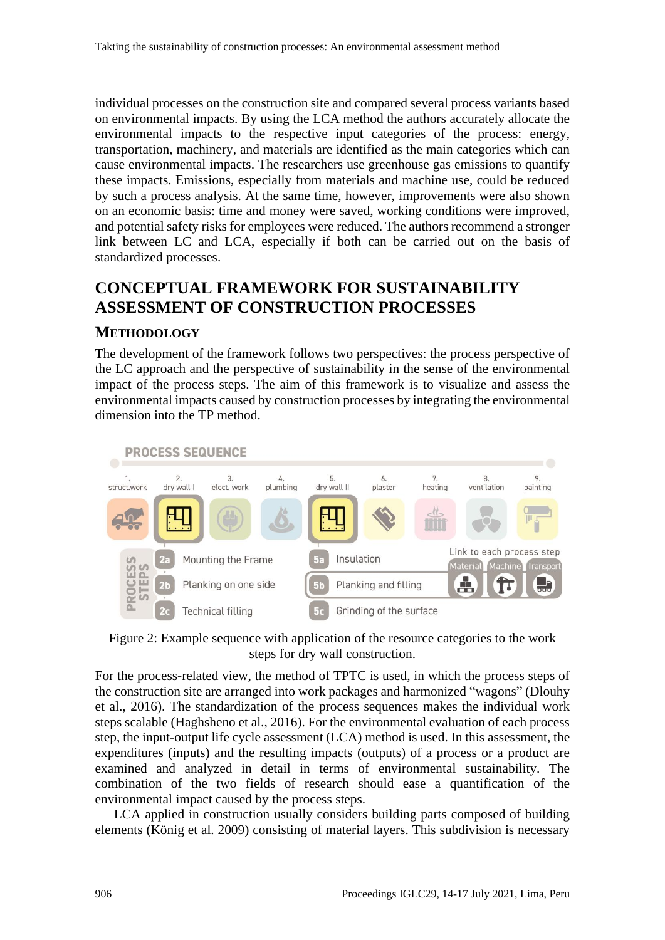individual processes on the construction site and compared several process variants based on environmental impacts. By using the LCA method the authors accurately allocate the environmental impacts to the respective input categories of the process: energy, transportation, machinery, and materials are identified as the main categories which can cause environmental impacts. The researchers use greenhouse gas emissions to quantify these impacts. Emissions, especially from materials and machine use, could be reduced by such a process analysis. At the same time, however, improvements were also shown on an economic basis: time and money were saved, working conditions were improved, and potential safety risks for employees were reduced. The authors recommend a stronger link between LC and LCA, especially if both can be carried out on the basis of standardized processes.

# **CONCEPTUAL FRAMEWORK FOR SUSTAINABILITY ASSESSMENT OF CONSTRUCTION PROCESSES**

#### **METHODOLOGY**

The development of the framework follows two perspectives: the process perspective of the LC approach and the perspective of sustainability in the sense of the environmental impact of the process steps. The aim of this framework is to visualize and assess the environmental impacts caused by construction processes by integrating the environmental dimension into the TP method.





For the process-related view, the method of TPTC is used, in which the process steps of the construction site are arranged into work packages and harmonized "wagons" (Dlouhy et al., 2016). The standardization of the process sequences makes the individual work steps scalable (Haghsheno et al., 2016). For the environmental evaluation of each process step, the input-output life cycle assessment (LCA) method is used. In this assessment, the expenditures (inputs) and the resulting impacts (outputs) of a process or a product are examined and analyzed in detail in terms of environmental sustainability. The combination of the two fields of research should ease a quantification of the environmental impact caused by the process steps.

LCA applied in construction usually considers building parts composed of building elements (König et al. 2009) consisting of material layers. This subdivision is necessary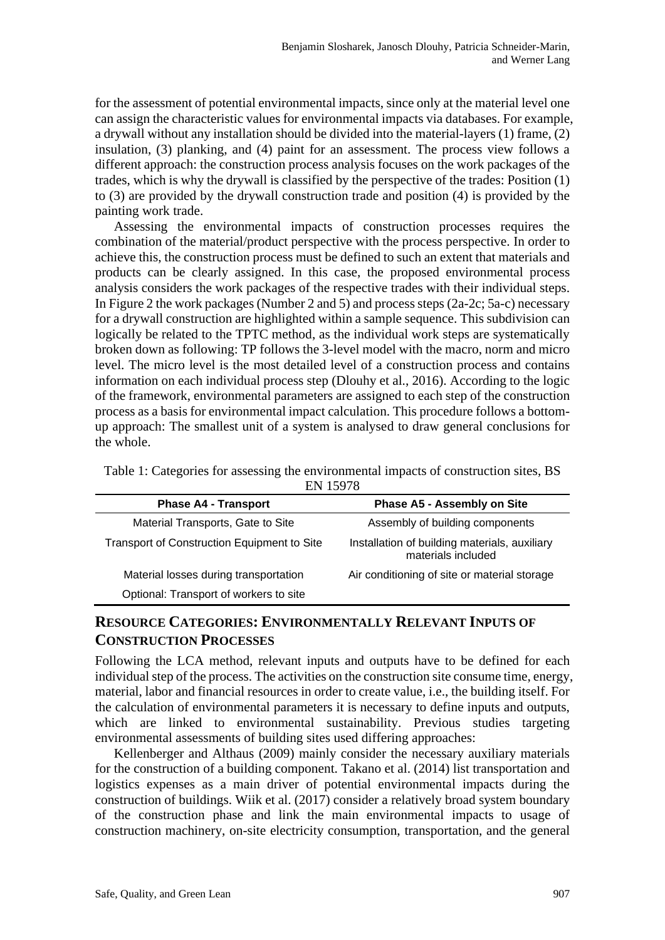for the assessment of potential environmental impacts, since only at the material level one can assign the characteristic values for environmental impacts via databases. For example, a drywall without any installation should be divided into the material-layers (1) frame, (2) insulation, (3) planking, and (4) paint for an assessment. The process view follows a different approach: the construction process analysis focuses on the work packages of the trades, which is why the drywall is classified by the perspective of the trades: Position (1) to (3) are provided by the drywall construction trade and position (4) is provided by the painting work trade.

Assessing the environmental impacts of construction processes requires the combination of the material/product perspective with the process perspective. In order to achieve this, the construction process must be defined to such an extent that materials and products can be clearly assigned. In this case, the proposed environmental process analysis considers the work packages of the respective trades with their individual steps. In Figure 2 the work packages (Number 2 and 5) and process steps (2a-2c; 5a-c) necessary for a drywall construction are highlighted within a sample sequence. This subdivision can logically be related to the TPTC method, as the individual work steps are systematically broken down as following: TP follows the 3-level model with the macro, norm and micro level. The micro level is the most detailed level of a construction process and contains information on each individual process step (Dlouhy et al., 2016). According to the logic of the framework, environmental parameters are assigned to each step of the construction process as a basis for environmental impact calculation. This procedure follows a bottomup approach: The smallest unit of a system is analysed to draw general conclusions for the whole.

Table 1: Categories for assessing the environmental impacts of construction sites, BS EN 15978

| <b>Phase A4 - Transport</b>                        | Phase A5 - Assembly on Site                                         |  |  |  |
|----------------------------------------------------|---------------------------------------------------------------------|--|--|--|
| Material Transports, Gate to Site                  | Assembly of building components                                     |  |  |  |
| <b>Transport of Construction Equipment to Site</b> | Installation of building materials, auxiliary<br>materials included |  |  |  |
| Material losses during transportation              | Air conditioning of site or material storage                        |  |  |  |
| Optional: Transport of workers to site             |                                                                     |  |  |  |

### **RESOURCE CATEGORIES: ENVIRONMENTALLY RELEVANT INPUTS OF CONSTRUCTION PROCESSES**

Following the LCA method, relevant inputs and outputs have to be defined for each individual step of the process. The activities on the construction site consume time, energy, material, labor and financial resources in order to create value, i.e., the building itself. For the calculation of environmental parameters it is necessary to define inputs and outputs, which are linked to environmental sustainability. Previous studies targeting environmental assessments of building sites used differing approaches:

Kellenberger and Althaus (2009) mainly consider the necessary auxiliary materials for the construction of a building component. Takano et al. (2014) list transportation and logistics expenses as a main driver of potential environmental impacts during the construction of buildings. Wiik et al. (2017) consider a relatively broad system boundary of the construction phase and link the main environmental impacts to usage of construction machinery, on-site electricity consumption, transportation, and the general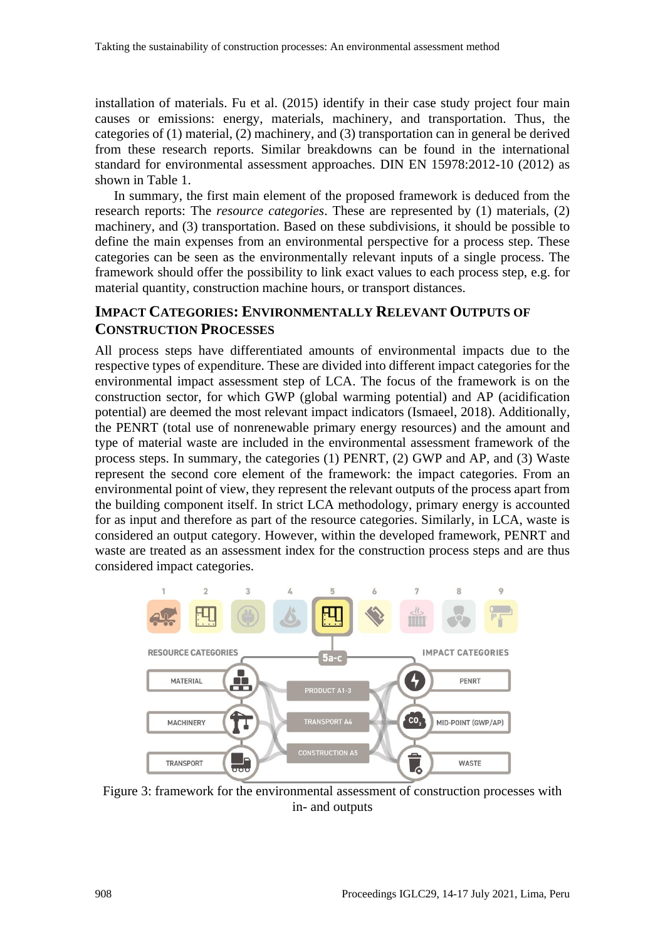installation of materials. Fu et al. (2015) identify in their case study project four main causes or emissions: energy, materials, machinery, and transportation. Thus, the categories of (1) material, (2) machinery, and (3) transportation can in general be derived from these research reports. Similar breakdowns can be found in the international standard for environmental assessment approaches. DIN EN 15978:2012-10 (2012) as shown in Table 1.

In summary, the first main element of the proposed framework is deduced from the research reports: The *resource categories*. These are represented by (1) materials, (2) machinery, and (3) transportation. Based on these subdivisions, it should be possible to define the main expenses from an environmental perspective for a process step. These categories can be seen as the environmentally relevant inputs of a single process. The framework should offer the possibility to link exact values to each process step, e.g. for material quantity, construction machine hours, or transport distances.

### **IMPACT CATEGORIES: ENVIRONMENTALLY RELEVANT OUTPUTS OF CONSTRUCTION PROCESSES**

All process steps have differentiated amounts of environmental impacts due to the respective types of expenditure. These are divided into different impact categories for the environmental impact assessment step of LCA. The focus of the framework is on the construction sector, for which GWP (global warming potential) and AP (acidification potential) are deemed the most relevant impact indicators (Ismaeel, 2018). Additionally, the PENRT (total use of nonrenewable primary energy resources) and the amount and type of material waste are included in the environmental assessment framework of the process steps. In summary, the categories (1) PENRT, (2) GWP and AP, and (3) Waste represent the second core element of the framework: the impact categories. From an environmental point of view, they represent the relevant outputs of the process apart from the building component itself. In strict LCA methodology, primary energy is accounted for as input and therefore as part of the resource categories. Similarly, in LCA, waste is considered an output category. However, within the developed framework, PENRT and waste are treated as an assessment index for the construction process steps and are thus considered impact categories.



Figure 3: framework for the environmental assessment of construction processes with in- and outputs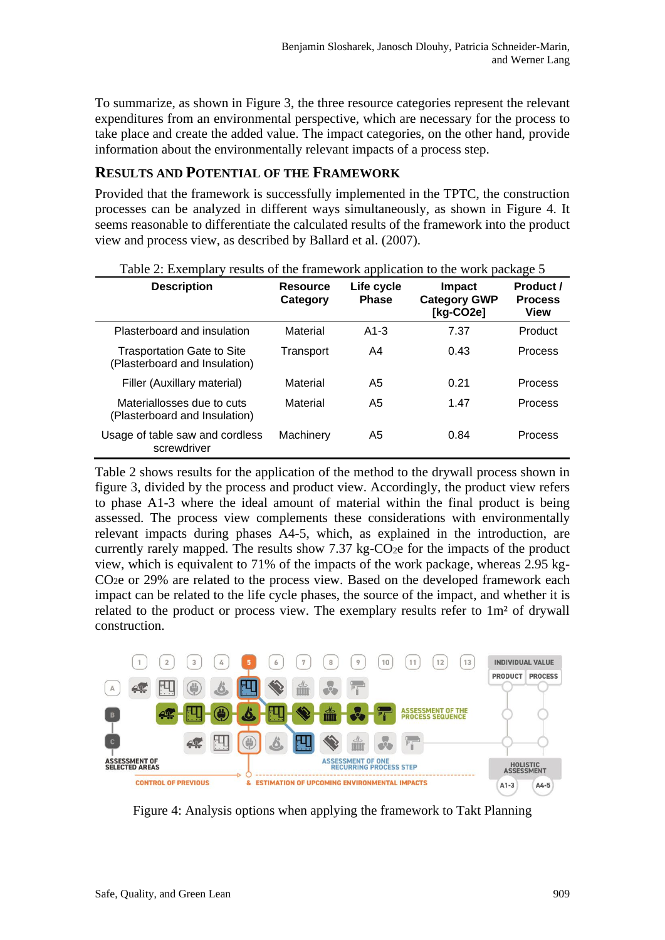To summarize, as shown in Figure 3, the three resource categories represent the relevant expenditures from an environmental perspective, which are necessary for the process to take place and create the added value. The impact categories, on the other hand, provide information about the environmentally relevant impacts of a process step.

#### **RESULTS AND POTENTIAL OF THE FRAMEWORK**

Provided that the framework is successfully implemented in the TPTC, the construction processes can be analyzed in different ways simultaneously, as shown in Figure 4. It seems reasonable to differentiate the calculated results of the framework into the product view and process view, as described by Ballard et al. (2007).

| Table 2. EXCIMPIALY TESURES OF THE HAMICWORK APPHEATION TO THE WORK PACKAGE $J$ |                             |                            |                                                       |                                            |  |
|---------------------------------------------------------------------------------|-----------------------------|----------------------------|-------------------------------------------------------|--------------------------------------------|--|
| <b>Description</b>                                                              | <b>Resource</b><br>Category | Life cycle<br><b>Phase</b> | <b>Impact</b><br><b>Category GWP</b><br>[ $kg-CO2e$ ] | Product /<br><b>Process</b><br><b>View</b> |  |
| Plasterboard and insulation                                                     | Material                    | $A1-3$                     | 7.37                                                  | Product                                    |  |
| <b>Trasportation Gate to Site</b><br>(Plasterboard and Insulation)              | Transport                   | A4                         | 0.43                                                  | Process                                    |  |
| Filler (Auxillary material)                                                     | Material                    | A5                         | 0.21                                                  | Process                                    |  |
| Materiallosses due to cuts<br>(Plasterboard and Insulation)                     | Material                    | A5                         | 1.47                                                  | Process                                    |  |
| Usage of table saw and cordless<br>screwdriver                                  | Machinery                   | A5                         | 0.84                                                  | Process                                    |  |

Table 2: Exemplary results of the framework application to the work package 5

Table 2 shows results for the application of the method to the drywall process shown in figure 3, divided by the process and product view. Accordingly, the product view refers to phase A1-3 where the ideal amount of material within the final product is being assessed. The process view complements these considerations with environmentally relevant impacts during phases A4-5, which, as explained in the introduction, are currently rarely mapped. The results show 7.37 kg-CO<sub>2</sub>e for the impacts of the product view, which is equivalent to 71% of the impacts of the work package, whereas 2.95 kg-CO2e or 29% are related to the process view. Based on the developed framework each impact can be related to the life cycle phases, the source of the impact, and whether it is related to the product or process view. The exemplary results refer to 1m² of drywall construction.



Figure 4: Analysis options when applying the framework to Takt Planning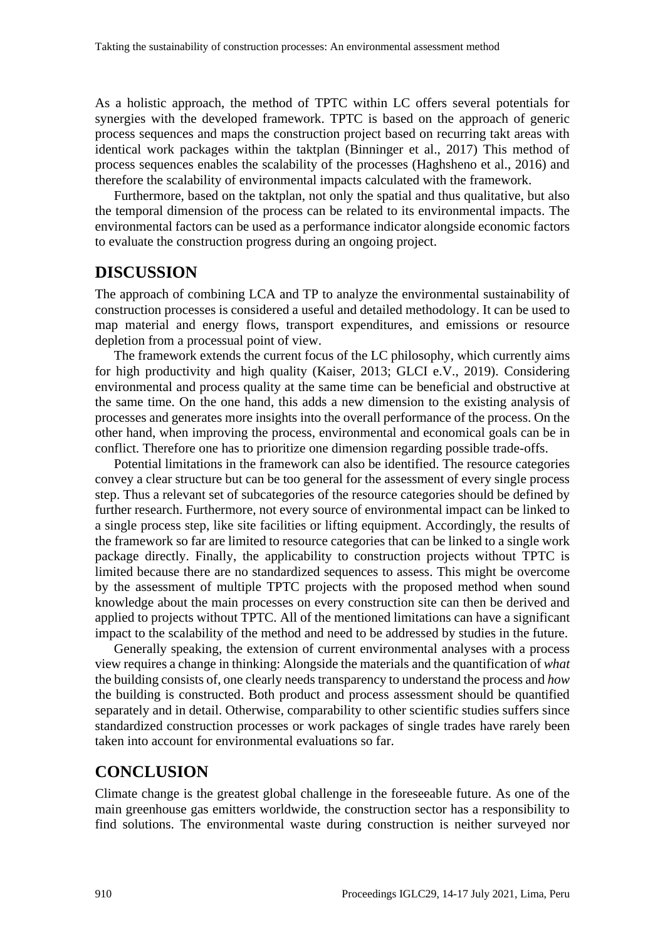As a holistic approach, the method of TPTC within LC offers several potentials for synergies with the developed framework. TPTC is based on the approach of generic process sequences and maps the construction project based on recurring takt areas with identical work packages within the taktplan (Binninger et al., 2017) This method of process sequences enables the scalability of the processes (Haghsheno et al., 2016) and therefore the scalability of environmental impacts calculated with the framework.

Furthermore, based on the taktplan, not only the spatial and thus qualitative, but also the temporal dimension of the process can be related to its environmental impacts. The environmental factors can be used as a performance indicator alongside economic factors to evaluate the construction progress during an ongoing project.

### **DISCUSSION**

The approach of combining LCA and TP to analyze the environmental sustainability of construction processes is considered a useful and detailed methodology. It can be used to map material and energy flows, transport expenditures, and emissions or resource depletion from a processual point of view.

The framework extends the current focus of the LC philosophy, which currently aims for high productivity and high quality (Kaiser, 2013; GLCI e.V., 2019). Considering environmental and process quality at the same time can be beneficial and obstructive at the same time. On the one hand, this adds a new dimension to the existing analysis of processes and generates more insights into the overall performance of the process. On the other hand, when improving the process, environmental and economical goals can be in conflict. Therefore one has to prioritize one dimension regarding possible trade-offs.

Potential limitations in the framework can also be identified. The resource categories convey a clear structure but can be too general for the assessment of every single process step. Thus a relevant set of subcategories of the resource categories should be defined by further research. Furthermore, not every source of environmental impact can be linked to a single process step, like site facilities or lifting equipment. Accordingly, the results of the framework so far are limited to resource categories that can be linked to a single work package directly. Finally, the applicability to construction projects without TPTC is limited because there are no standardized sequences to assess. This might be overcome by the assessment of multiple TPTC projects with the proposed method when sound knowledge about the main processes on every construction site can then be derived and applied to projects without TPTC. All of the mentioned limitations can have a significant impact to the scalability of the method and need to be addressed by studies in the future.

Generally speaking, the extension of current environmental analyses with a process view requires a change in thinking: Alongside the materials and the quantification of *what* the building consists of, one clearly needs transparency to understand the process and *how* the building is constructed. Both product and process assessment should be quantified separately and in detail. Otherwise, comparability to other scientific studies suffers since standardized construction processes or work packages of single trades have rarely been taken into account for environmental evaluations so far.

### **CONCLUSION**

Climate change is the greatest global challenge in the foreseeable future. As one of the main greenhouse gas emitters worldwide, the construction sector has a responsibility to find solutions. The environmental waste during construction is neither surveyed nor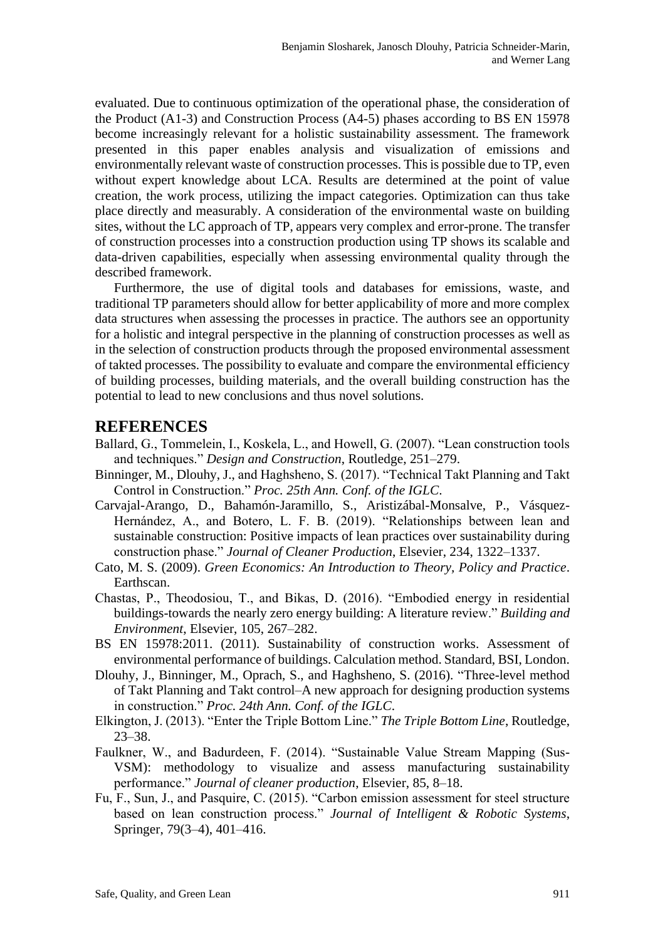evaluated. Due to continuous optimization of the operational phase, the consideration of the Product (A1-3) and Construction Process (A4-5) phases according to BS EN 15978 become increasingly relevant for a holistic sustainability assessment. The framework presented in this paper enables analysis and visualization of emissions and environmentally relevant waste of construction processes. This is possible due to TP, even without expert knowledge about LCA. Results are determined at the point of value creation, the work process, utilizing the impact categories. Optimization can thus take place directly and measurably. A consideration of the environmental waste on building sites, without the LC approach of TP, appears very complex and error-prone. The transfer of construction processes into a construction production using TP shows its scalable and data-driven capabilities, especially when assessing environmental quality through the described framework.

Furthermore, the use of digital tools and databases for emissions, waste, and traditional TP parameters should allow for better applicability of more and more complex data structures when assessing the processes in practice. The authors see an opportunity for a holistic and integral perspective in the planning of construction processes as well as in the selection of construction products through the proposed environmental assessment of takted processes. The possibility to evaluate and compare the environmental efficiency of building processes, building materials, and the overall building construction has the potential to lead to new conclusions and thus novel solutions.

### **REFERENCES**

- Ballard, G., Tommelein, I., Koskela, L., and Howell, G. (2007). "Lean construction tools and techniques." *Design and Construction*, Routledge, 251–279.
- Binninger, M., Dlouhy, J., and Haghsheno, S. (2017). "Technical Takt Planning and Takt Control in Construction." *Proc. 25th Ann. Conf. of the IGLC*.
- Carvajal-Arango, D., Bahamón-Jaramillo, S., Aristizábal-Monsalve, P., Vásquez-Hernández, A., and Botero, L. F. B. (2019). "Relationships between lean and sustainable construction: Positive impacts of lean practices over sustainability during construction phase." *Journal of Cleaner Production*, Elsevier, 234, 1322–1337.
- Cato, M. S. (2009). *Green Economics: An Introduction to Theory, Policy and Practice*. Earthscan.
- Chastas, P., Theodosiou, T., and Bikas, D. (2016). "Embodied energy in residential buildings-towards the nearly zero energy building: A literature review." *Building and Environment*, Elsevier, 105, 267–282.
- BS EN 15978:2011. (2011). Sustainability of construction works. Assessment of environmental performance of buildings. Calculation method. Standard, BSI, London.
- Dlouhy, J., Binninger, M., Oprach, S., and Haghsheno, S. (2016). "Three-level method of Takt Planning and Takt control–A new approach for designing production systems in construction." *Proc. 24th Ann. Conf. of the IGLC*.
- Elkington, J. (2013). "Enter the Triple Bottom Line." *The Triple Bottom Line*, Routledge, 23–38.
- Faulkner, W., and Badurdeen, F. (2014). "Sustainable Value Stream Mapping (Sus-VSM): methodology to visualize and assess manufacturing sustainability performance." *Journal of cleaner production*, Elsevier, 85, 8–18.
- Fu, F., Sun, J., and Pasquire, C. (2015). "Carbon emission assessment for steel structure based on lean construction process." *Journal of Intelligent & Robotic Systems*, Springer, 79(3–4), 401–416.